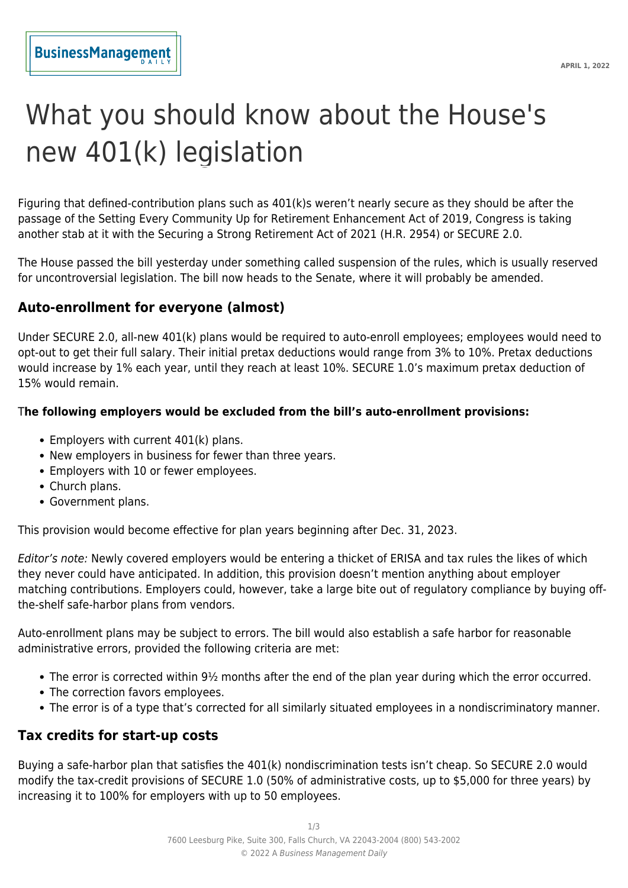# What you should know about the House's new 401(k) legislation

Figuring that defined-contribution plans such as 401(k)s weren't nearly secure as they should be after the passage of the Setting Every Community Up for Retirement Enhancement Act of 2019, Congress is taking another stab at it with the Securing a Strong Retirement Act of 2021 (H.R. 2954) or SECURE 2.0.

The House passed the bill yesterday under something called suspension of the rules, which is usually reserved for uncontroversial legislation. The bill now heads to the Senate, where it will probably be amended.

#### **Auto-enrollment for everyone (almost)**

Under SECURE 2.0, all-new 401(k) plans would be required to auto-enroll employees; employees would need to opt-out to get their full salary. Their initial pretax deductions would range from 3% to 10%. Pretax deductions would increase by 1% each year, until they reach at least 10%. SECURE 1.0's maximum pretax deduction of 15% would remain.

#### T**he following employers would be excluded from the bill's auto-enrollment provisions:**

- Employers with current 401(k) plans.
- New employers in business for fewer than three years.
- Employers with 10 or fewer employees.
- Church plans.
- Government plans.

This provision would become effective for plan years beginning after Dec. 31, 2023.

Editor's note: Newly covered employers would be entering a thicket of ERISA and tax rules the likes of which they never could have anticipated. In addition, this provision doesn't mention anything about employer matching contributions. Employers could, however, take a large bite out of regulatory compliance by buying offthe-shelf safe-harbor plans from vendors.

Auto-enrollment plans may be subject to errors. The bill would also establish a safe harbor for reasonable administrative errors, provided the following criteria are met:

- The error is corrected within 9½ months after the end of the plan year during which the error occurred.
- The correction favors employees.
- The error is of a type that's corrected for all similarly situated employees in a nondiscriminatory manner.

## **Tax credits for start-up costs**

Buying a safe-harbor plan that satisfies the 401(k) nondiscrimination tests isn't cheap. So SECURE 2.0 would modify the tax-credit provisions of SECURE 1.0 (50% of administrative costs, up to \$5,000 for three years) by increasing it to 100% for employers with up to 50 employees.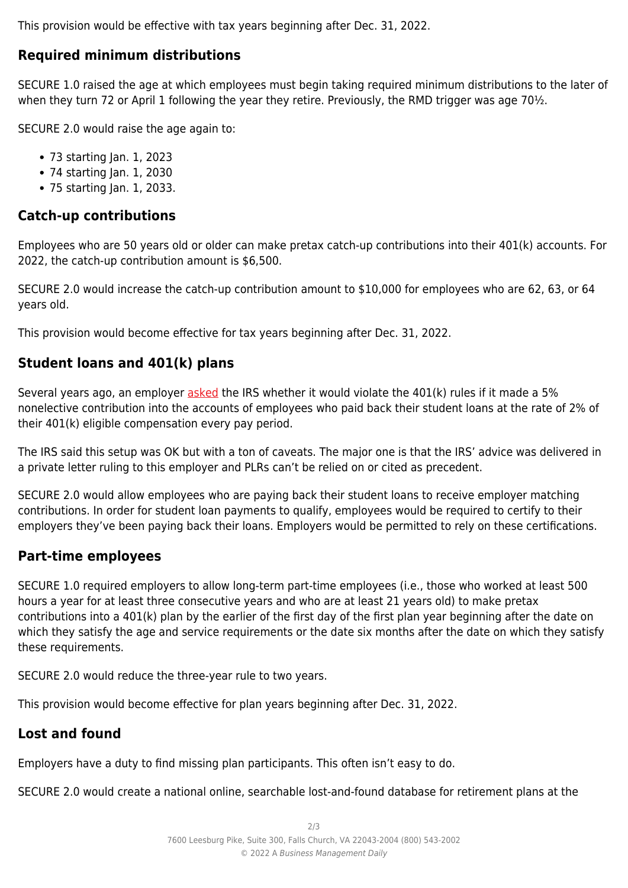This provision would be effective with tax years beginning after Dec. 31, 2022.

## **Required minimum distributions**

SECURE 1.0 raised the age at which employees must begin taking required minimum distributions to the later of when they turn 72 or April 1 following the year they retire. Previously, the RMD trigger was age 70<sup>1</sup>/<sub>2</sub>.

SECURE 2.0 would raise the age again to:

- 73 starting Jan. 1, 2023
- 74 starting Jan. 1, 2030
- 75 starting Jan. 1, 2033.

#### **Catch-up contributions**

Employees who are 50 years old or older can make pretax catch-up contributions into their 401(k) accounts. For 2022, the catch-up contribution amount is \$6,500.

SECURE 2.0 would increase the catch-up contribution amount to \$10,000 for employees who are 62, 63, or 64 years old.

This provision would become effective for tax years beginning after Dec. 31, 2022.

# **Student loans and 401(k) plans**

Several years ago, an employer [asked](https://www.irs.gov/pub/irs-wd/201833012.pdf) the IRS whether it would violate the 401(k) rules if it made a 5% nonelective contribution into the accounts of employees who paid back their student loans at the rate of 2% of their 401(k) eligible compensation every pay period.

The IRS said this setup was OK but with a ton of caveats. The major one is that the IRS' advice was delivered in a private letter ruling to this employer and PLRs can't be relied on or cited as precedent.

SECURE 2.0 would allow employees who are paying back their student loans to receive employer matching contributions. In order for student loan payments to qualify, employees would be required to certify to their employers they've been paying back their loans. Employers would be permitted to rely on these certifications.

#### **Part-time employees**

SECURE 1.0 required employers to allow long-term part-time employees (i.e., those who worked at least 500 hours a year for at least three consecutive years and who are at least 21 years old) to make pretax contributions into a 401(k) plan by the earlier of the first day of the first plan year beginning after the date on which they satisfy the age and service requirements or the date six months after the date on which they satisfy these requirements.

SECURE 2.0 would reduce the three-year rule to two years.

This provision would become effective for plan years beginning after Dec. 31, 2022.

## **Lost and found**

Employers have a duty to find missing plan participants. This often isn't easy to do.

SECURE 2.0 would create a national online, searchable lost-and-found database for retirement plans at the